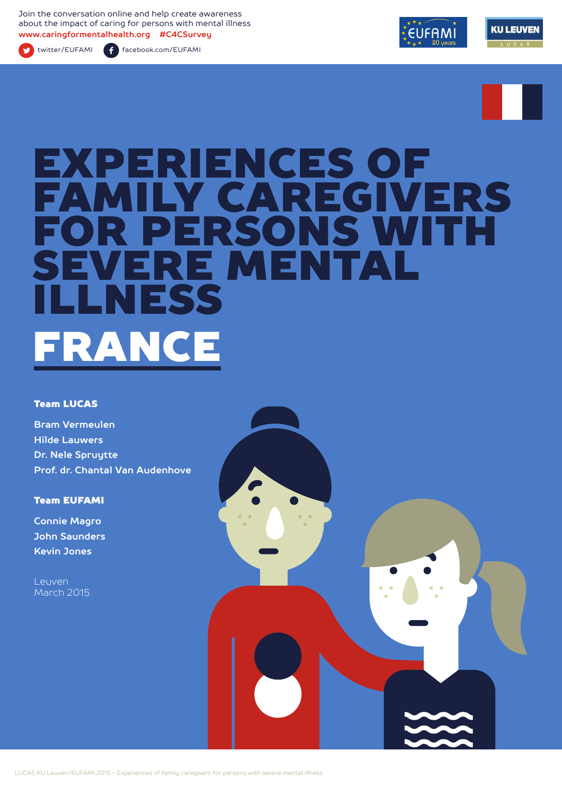Join the conversation online and help create awareness about the impact of caring for persons with mental illness **www.caringformentalhealth.org #C4CSurvey**



twitter/EUFAMI facebook.com/EUFAMI





# EXPERIENCES OF<br>EAMILY CARECIVI **MILY CAREGIVERS** R PERSONS WITH RE MENTAL NESS FRANCE

#### Team LUCAS

**Bram Vermeulen Hilde Lauwers Dr. Nele Spruytte Prof. dr. Chantal Van Audenhove**

Team EUFAMI

**Connie Magro John Saunders Kevin Jones**

**Leuven** March 2015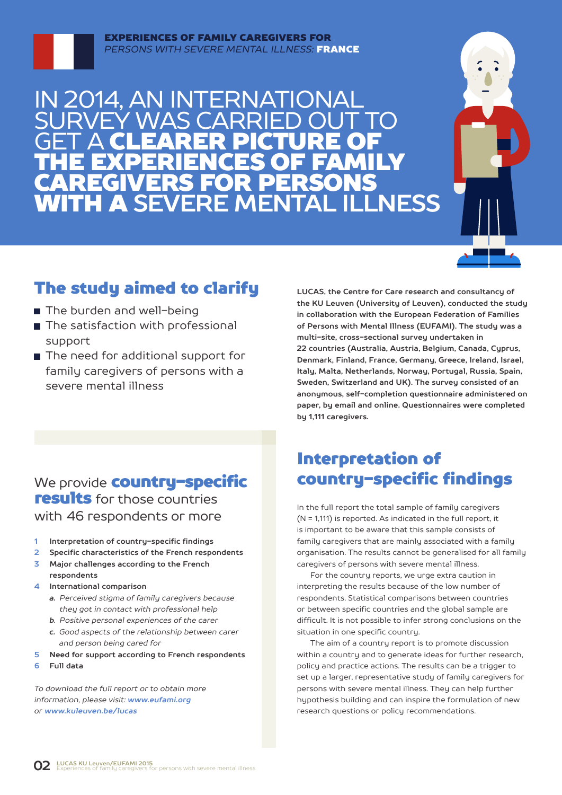

IN 2014, AN INTERNATIONAL MAS CARRI **GET A CLEARER PICTURE OF** THE EXPERIENCES OF FAMILY CAREGIVERS FOR PERSONS WITH A **SEVERE MENTAL ILLNESS**



## The study aimed to clarify

- The burden and well-being
- The satisfaction with professional support
- The need for additional support for family caregivers of persons with a severe mental illness

**LUCAS, the Centre for Care research and consultancy of the KU Leuven (University of Leuven), conducted the study in collaboration with the European Federation of Families of Persons with Mental Illness (EUFAMI). The study was a multi-site, cross-sectional survey undertaken in 22 countries (Australia, Austria, Belgium, Canada, Cyprus, Denmark, Finland, France, Germany, Greece, Ireland, Israel, Italy, Malta, Netherlands, Norway, Portugal, Russia, Spain, Sweden, Switzerland and UK). The survey consisted of an anonymous, self-completion questionnaire administered on paper, by email and online. Questionnaires were completed by 1,111 caregivers.** 

## We provide **country-specific** results for those countries with 46 respondents or more

- **1 Interpretation of country-specific findings**
- **2 Specific characteristics of the French respondents**
- **3 Major challenges according to the French respondents**
- **4 International comparison**
	- *a. Perceived stigma of family caregivers because they got in contact with professional help*
	- *b. Positive personal experiences of the carer*
	- *c. Good aspects of the relationship between carer and person being cared for*
- **5 Need for support according to French respondents**
- **6 Full data**

*To download the full report or to obtain more information, please visit: www.eufami.org or www.kuleuven.be/lucas*

## Interpretation of country-specific findings

In the full report the total sample of family caregivers (N = 1,111) is reported. As indicated in the full report, it is important to be aware that this sample consists of family caregivers that are mainly associated with a family organisation. The results cannot be generalised for all family caregivers of persons with severe mental illness.

For the country reports, we urge extra caution in interpreting the results because of the low number of respondents. Statistical comparisons between countries or between specific countries and the global sample are difficult. It is not possible to infer strong conclusions on the situation in one specific country.

The aim of a country report is to promote discussion within a country and to generate ideas for further research, policy and practice actions. The results can be a trigger to set up a larger, representative study of family caregivers for persons with severe mental illness. They can help further hypothesis building and can inspire the formulation of new research questions or policy recommendations.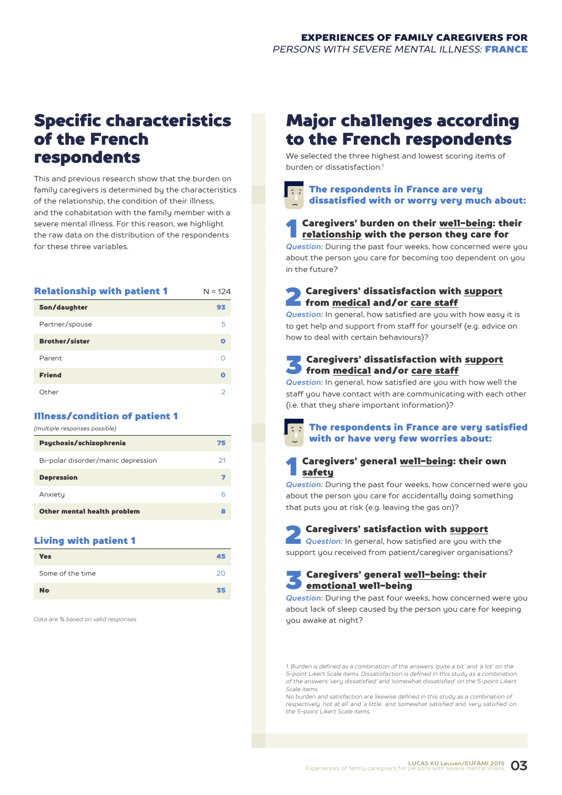## Specific characteristics of the French respondents

This and previous research show that the burden on family caregivers is determined by the characteristics of the relationship, the condition of their illness, and the cohabitation with the family member with a severe mental illness. For this reason, we highlight the raw data on the distribution of the respondents for these three variables.

| <b>Relationship with patient 1</b> | $N = 124$ |
|------------------------------------|-----------|
| Son/daughter                       | 93        |
| Partner/spouse                     | 5         |
| <b>Brother/sister</b>              | ດ         |
| Parent                             | ∩         |
| <b>Friend</b>                      | ດ         |
| Other                              | っ         |

#### Illness/condition of patient 1

| (multiple responses possible)      |    |
|------------------------------------|----|
| Psychosis/schizophrenia            | 75 |
| Bi-polar disorder/manic depression | 21 |
| <b>Depression</b>                  | 7  |
| Anxiety                            | 6  |
| Other mental health problem        | 8  |
|                                    |    |

#### Living with patient 1

| <b>Yes</b>       | 45 |
|------------------|----|
| Some of the time | 20 |
| <b>No</b>        | 35 |

*Data are % based on valid responses*

## Major challenges according to the French respondents

We selected the three highest and lowest scoring items of burden or dissatisfaction<sup>1</sup>

## The respondents in France are very dissatisfied with or worry very much about:

## **1** Caregivers' burden on their <u>well-being</u>: their<br><u>relationship</u> with the person they care for

*Question:* During the past four weeks, how concerned were you about the person you care for becoming too dependent on you in the future?

### 2 Caregivers' dissatisfaction with support from medical and/or care staff

*Question:* In general, how satisfied are you with how easy it is to get help and support from staff for yourself (e.g. advice on how to deal with certain behaviours)?

## 3 Caregivers' dissatisfaction with support from medical and/or care staff

*Question:* In general, how satisfied are you with how well the staff you have contact with are communicating with each other (i.e. that they share important information)?



#### The respondents in France are very satisfied with or have very few worries about:

### 1 Caregivers' general well-being: their own safety

*Question:* During the past four weeks, how concerned were you about the person you care for accidentally doing something that puts you at risk (e.g. leaving the gas on)?

**2 Caregivers' satisfaction with support**<br>**Question:** In general, how satisfied are you with the support you received from patient/caregiver organisations?

**Caregivers' general well-being: their** emotional well-being

*Question:* During the past four weeks, how concerned were you about lack of sleep caused by the person you care for keeping you awake at night?

*1. Burden is defined as a combination of the answers 'quite a bit' and 'a lot' on the 5-point Likert Scale items. Dissatisfaction is defined in this study as a combination of the answers 'very dissatisfied' and 'somewhat dissatisfied' on the 5-point Likert Scale items.*

*No burden and satisfaction are likewise defined in this study as a combination of respectively 'not at all' and 'a little', and 'somewhat satisfied' and 'very satisfied' on the 5-point Likert Scale items.*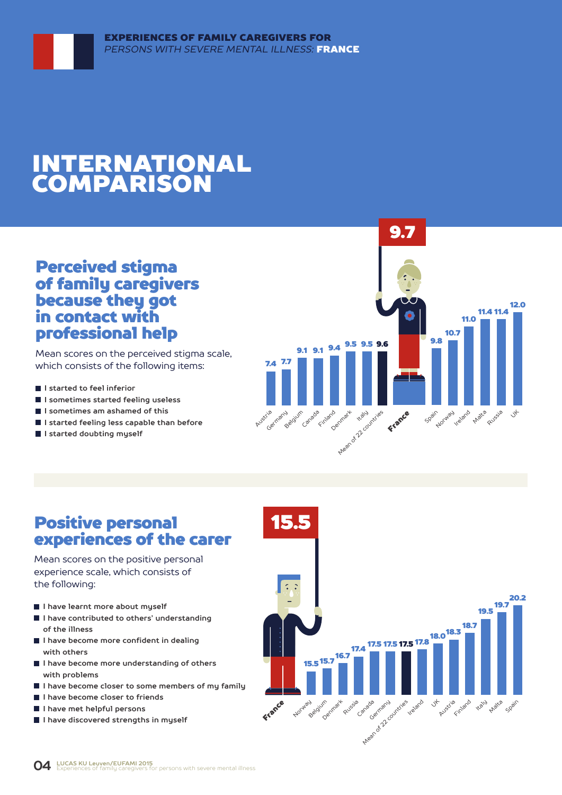## INTERNATIONAL COMPARISON

## Perceived stigma of family caregivers because they got in contact with professional help

Mean scores on the perceived stigma scale, which consists of the following items:

- **I** I started to feel inferior
- **I sometimes started feeling useless**
- **I sometimes am ashamed of this**
- **I started feeling less capable than before**
- **I started doubting myself**



## Positive personal experiences of the carer

Mean scores on the positive personal experience scale, which consists of the following:

- **I have learnt more about myself**
- **I have contributed to others' understanding of the illness**
- **I have become more confident in dealing with others**
- **I have become more understanding of others with problems**
- **I have become closer to some members of my family**
- **I have become closer to friends**
- **I have met helpful persons**
- **I have discovered strengths in myself**

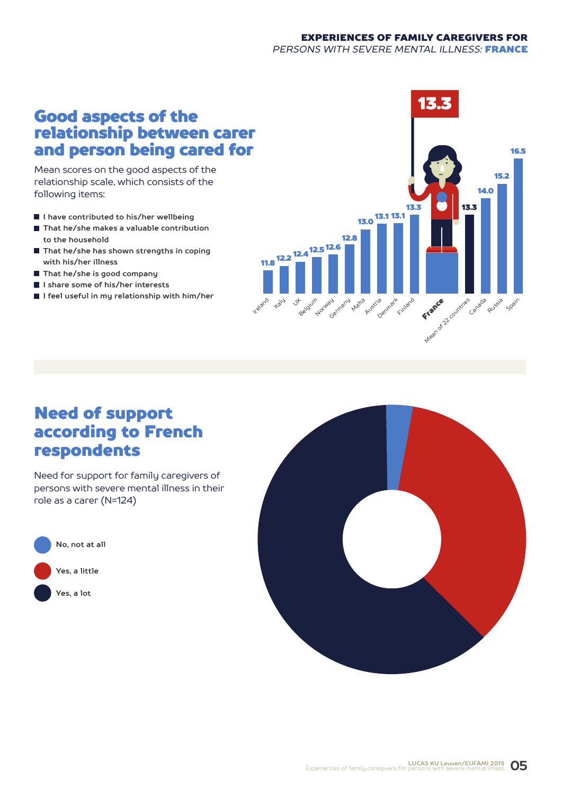#### EXPERIENCES OF FAMILY CAREGIVERS FOR *PERSONS WITH SEVERE MENTAL ILLNESS:* FRANCE

## Good aspects of the relationship between carer and person being cared for

Mean scores on the good aspects of the relationship scale, which consists of the following items:

- **I have contributed to his/her wellbeing**
- **That he/she makes a valuable contribution to the household**
- **That he/she has shown strengths in coping with his/her illness**
- **That he/she is good company**
- **I share some of his/her interests**
- **I feel useful in my relationship with him/her**



## Need of support according to French respondents

Need for support for family caregivers of persons with severe mental illness in their role as a carer (N=124)



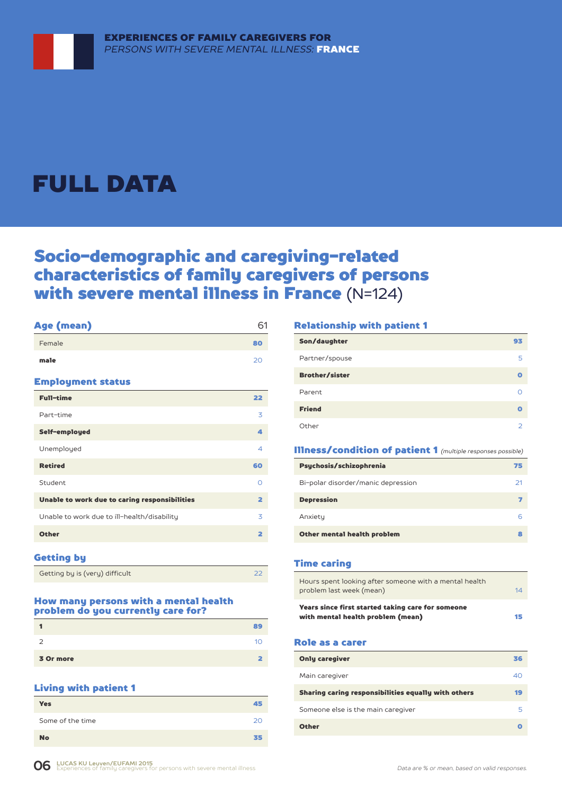## FULL DATA

## Socio-demographic and caregiving-related characteristics of family caregivers of persons with severe mental illness in France (N=124)

| Age (mean)                                    | 61                      |
|-----------------------------------------------|-------------------------|
| Female                                        | 80                      |
| male                                          | 20                      |
| <b>Employment status</b>                      |                         |
| <b>Full-time</b>                              | 22                      |
| Part-time                                     | 3                       |
| Self-employed                                 | Δ                       |
| Unemployed                                    | 4                       |
| <b>Retired</b>                                | 60                      |
| Student                                       | $\Omega$                |
| Unable to work due to caring responsibilities | $\overline{\mathbf{2}}$ |
| Unable to work due to ill-health/disability   | 3                       |
| <b>Other</b>                                  | $\overline{\mathbf{2}}$ |
|                                               |                         |

### Getting by

| Getting by is (very) difficult |  |
|--------------------------------|--|

#### How many persons with a mental health problem do you currently care for?

|           | 89 |
|-----------|----|
|           |    |
| 3 Or more |    |

#### Living with patient 1

| . .              |    |
|------------------|----|
| <b>Yes</b>       | 45 |
| Some of the time | 20 |
| <b>No</b>        | 35 |

#### Relationship with patient 1

| Son/daughter          | 93 |
|-----------------------|----|
| Partner/spouse        | 5  |
| <b>Brother/sister</b> | o  |
| Parent                |    |
| <b>Friend</b>         | Ω  |
| Other                 | っ  |

#### Illness/condition of patient 1 *(multiple responses possible)*

| Psychosis/schizophrenia            | 75 |
|------------------------------------|----|
| Bi-polar disorder/manic depression | 21 |
| <b>Depression</b>                  |    |
| Anxiety                            | F  |
| Other mental health problem        |    |

#### Time caring

| Hours spent looking after someone with a mental health<br>problem last week (mean)     | 14 |
|----------------------------------------------------------------------------------------|----|
| Years since first started taking care for someone<br>with mental health problem (mean) | 15 |

#### Role as a carer

| <b>Only caregiver</b>                               | 36 |
|-----------------------------------------------------|----|
| Main caregiver                                      | 40 |
| Sharing caring responsibilities equally with others | 19 |
| Someone else is the main caregiver                  | 5  |
| <b>Other</b>                                        |    |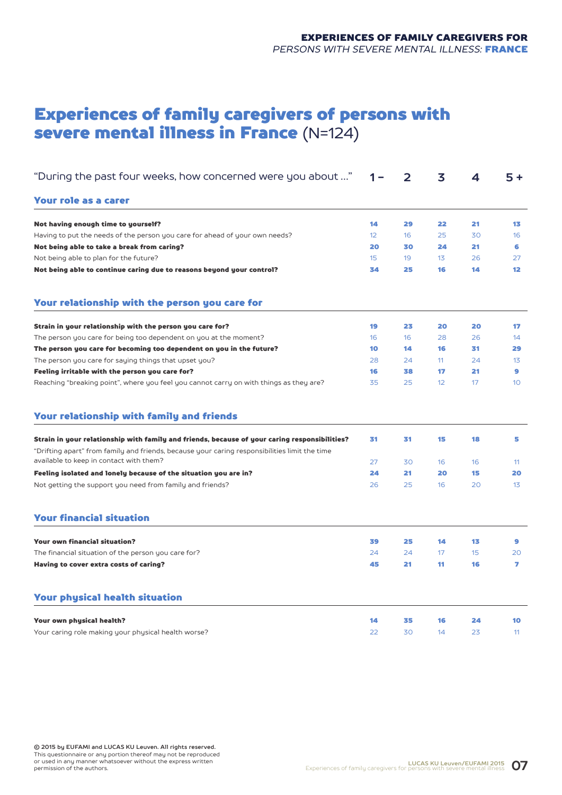## Experiences of family caregivers of persons with severe mental illness in France (N=124)

| "During the past four weeks, how concerned were you about "                                                                                                                                    | 1 –             | 2  | 3  | 4  | $5+$            |
|------------------------------------------------------------------------------------------------------------------------------------------------------------------------------------------------|-----------------|----|----|----|-----------------|
| Your role as a carer                                                                                                                                                                           |                 |    |    |    |                 |
| Not having enough time to yourself?                                                                                                                                                            | 14              | 29 | 22 | 21 | 13              |
| Having to put the needs of the person you care for ahead of your own needs?                                                                                                                    | 12 <sup>°</sup> | 16 | 25 | 30 | 16              |
| Not being able to take a break from caring?                                                                                                                                                    | 20              | 30 | 24 | 21 | 6               |
| Not being able to plan for the future?                                                                                                                                                         | 15              | 19 | 13 | 26 | 27              |
| Not being able to continue caring due to reasons beyond your control?                                                                                                                          | 34              | 25 | 16 | 14 | 12 <sub>2</sub> |
| Your relationship with the person you care for                                                                                                                                                 |                 |    |    |    |                 |
| Strain in your relationship with the person you care for?                                                                                                                                      | 19              | 23 | 20 | 20 | 17              |
| The person you care for being too dependent on you at the moment?                                                                                                                              | 16              | 16 | 28 | 26 | 14              |
| The person you care for becoming too dependent on you in the future?                                                                                                                           | 10              | 14 | 16 | 31 | 29              |
| The person you care for saying things that upset you?                                                                                                                                          | 28              | 24 | 11 | 24 | 13              |
| Feeling irritable with the person you care for?                                                                                                                                                | 16              | 38 | 17 | 21 | 9               |
| Reaching "breaking point", where you feel you cannot carry on with things as they are?                                                                                                         | 35              | 25 | 12 | 17 | 10              |
| Your relationship with family and friends                                                                                                                                                      |                 |    |    |    |                 |
| Strain in your relationship with family and friends, because of your caring responsibilities?<br>"Drifting apart" from family and friends, because your caring responsibilities limit the time | 31              | 31 | 15 | 18 | 5               |
| available to keep in contact with them?                                                                                                                                                        | 27              | 30 | 16 | 16 | 11              |
| Feeling isolated and lonely because of the situation you are in?                                                                                                                               | 24              | 21 | 20 | 15 | 20              |
| Not getting the support you need from family and friends?                                                                                                                                      | 26              | 25 | 16 | 20 | 13 <sup>°</sup> |
| <b>Your financial situation</b>                                                                                                                                                                |                 |    |    |    |                 |
| <b>Your own financial situation?</b>                                                                                                                                                           | 39              | 25 | 14 | 13 | 9               |
| The financial situation of the person you care for?                                                                                                                                            | 24              | 24 | 17 | 15 | 20              |
| Having to cover extra costs of caring?                                                                                                                                                         | 45              | 21 | 11 | 16 | $\overline{ }$  |
| <b>Your physical health situation</b>                                                                                                                                                          |                 |    |    |    |                 |
| Your own physical health?                                                                                                                                                                      | 14              | 35 | 16 | 24 | 10              |
| Your caring role making your physical health worse?                                                                                                                                            | 22              | 30 | 14 | 23 | 11              |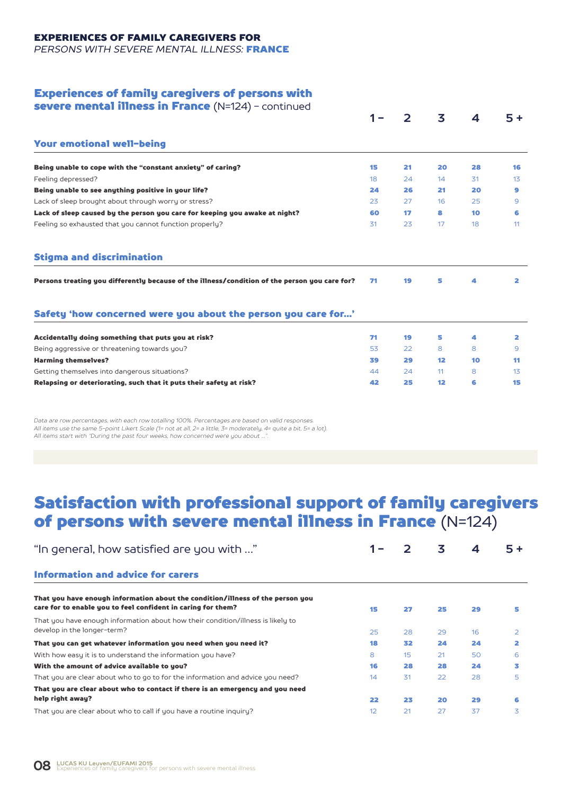## EXPERIENCES OF FAMILY CAREGIVERS FOR

*PERSONS WITH SEVERE MENTAL ILLNESS:* FRANCE

#### Experiences of family caregivers of persons with

| severe mental illness in France (N=124) - continued                                           |    |               |    |    |                 |
|-----------------------------------------------------------------------------------------------|----|---------------|----|----|-----------------|
|                                                                                               |    | $\mathcal{P}$ | 3  | 4  | $5+$            |
| <b>Your emotional well-being</b>                                                              |    |               |    |    |                 |
| Being unable to cope with the "constant anxiety" of caring?                                   | 15 | 21            | 20 | 28 | 16              |
| Feeling depressed?                                                                            | 18 | 24            | 14 | 31 | 1 <sub>3</sub>  |
| Being unable to see anything positive in your life?                                           | 24 | 26            | 21 | 20 | 9               |
| Lack of sleep brought about through worry or stress?                                          | 23 | 27            | 16 | 25 | 9               |
| Lack of sleep caused by the person you care for keeping you awake at night?                   | 60 | 17            | 8  | 10 | 6               |
| Feeling so exhausted that you cannot function properly?                                       | 31 | 23            | 17 | 18 | 11              |
| <b>Stigma and discrimination</b>                                                              |    |               |    |    |                 |
| Persons treating you differently because of the illness/condition of the person you care for? | 71 | 19            | 5  | 4  | 2               |
| Safety 'how concerned were you about the person you care for'                                 |    |               |    |    |                 |
| Accidentally doing something that puts you at risk?                                           | 71 | 19            | 5  | 4  | 2               |
| Being aggressive or threatening towards you?                                                  | 53 | 22            | 8  | 8  | 9               |
| <b>Harming themselves?</b>                                                                    | 39 | 29            | 12 | 10 | 11              |
| Getting themselves into dangerous situations?                                                 | 44 | 24            | 11 | 8  | 13 <sup>5</sup> |
| Relapsing or deteriorating, such that it puts their safety at risk?                           | 42 | 25            | 12 | 6  | 15              |
|                                                                                               |    |               |    |    |                 |

*Data are row percentages, with each row totalling 100%. Percentages are based on valid responses. All items use the same 5-point Likert Scale (1= not at all, 2= a little, 3= moderately, 4= quite a bit, 5= a lot). All items start with "During the past four weeks, how concerned were you about …".*

## Satisfaction with professional support of family caregivers of persons with severe mental illness in France (N=124)

| "In general, how satisfied are you with "                                                                                                      |    | $\mathbf{z}$ | 3  | 4  |                |
|------------------------------------------------------------------------------------------------------------------------------------------------|----|--------------|----|----|----------------|
| <b>Information and advice for carers</b>                                                                                                       |    |              |    |    |                |
| That you have enough information about the condition/illness of the person you<br>care for to enable you to feel confident in caring for them? | 15 | 27           | 25 | 29 | 5              |
| That you have enough information about how their condition/illness is likely to<br>develop in the longer-term?                                 | 25 | 28           | 29 | 16 | $\overline{2}$ |
| That you can get whatever information you need when you need it?                                                                               | 18 | 32           | 24 | 24 | 2              |
| With how easy it is to understand the information you have?                                                                                    | 8  | 15           | 21 | 50 | 6              |
| With the amount of advice available to you?                                                                                                    | 16 | 28           | 28 | 24 | 3              |
| That you are clear about who to go to for the information and advice you need?                                                                 | 14 | 31           | 22 | 28 | 5              |
| That you are clear about who to contact if there is an emergency and you need                                                                  |    |              |    |    |                |
| help right away?                                                                                                                               | 22 | 23           | 20 | 29 | 6              |
| That you are clear about who to call if you have a routine inquiry?                                                                            | 12 | 21           | 27 | 37 | 3              |